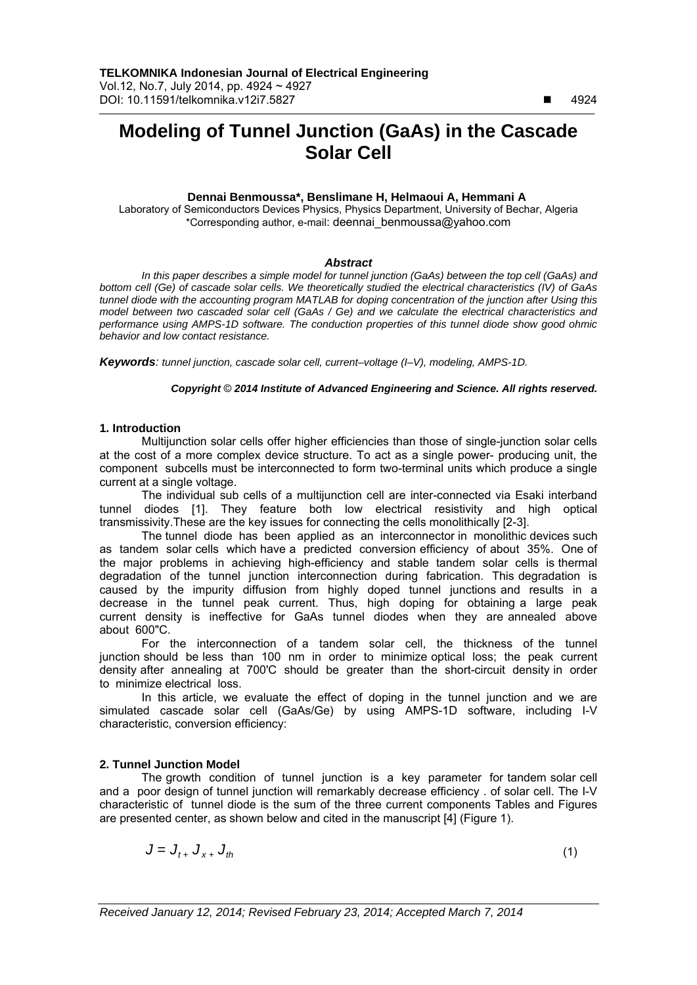$\overline{a}$ 

# **Modeling of Tunnel Junction (GaAs) in the Cascade Solar Cell**

## **Dennai Benmoussa\*, Benslimane H, Helmaoui A, Hemmani A**

Laboratory of Semiconductors Devices Physics, Physics Department, University of Bechar, Algeria \*Corresponding author, e-mail: deennai\_benmoussa@yahoo.com

### *Abstract*

*In this paper describes a simple model for tunnel junction (GaAs) between the top cell (GaAs) and bottom cell (Ge) of cascade solar cells. We theoretically studied the electrical characteristics (IV) of GaAs tunnel diode with the accounting program MATLAB for doping concentration of the junction after Using this model between two cascaded solar cell (GaAs / Ge) and we calculate the electrical characteristics and performance using AMPS-1D software. The conduction properties of this tunnel diode show good ohmic behavior and low contact resistance.* 

*Keywords: tunnel junction, cascade solar cell, current–voltage (I–V), modeling, AMPS-1D.*

*Copyright* © *2014 Institute of Advanced Engineering and Science. All rights reserved.*

# **1. Introduction**

Multijunction solar cells offer higher efficiencies than those of single-junction solar cells at the cost of a more complex device structure. To act as a single power- producing unit, the component subcells must be interconnected to form two-terminal units which produce a single current at a single voltage.

The individual sub cells of a multijunction cell are inter-connected via Esaki interband tunnel diodes [1]. They feature both low electrical resistivity and high optical transmissivity.These are the key issues for connecting the cells monolithically [2-3].

The tunnel diode has been applied as an interconnector in monolithic devices such as tandem solar cells which have a predicted conversion efficiency of about 35%. One of the major problems in achieving high-efficiency and stable tandem solar cells is thermal degradation of the tunnel junction interconnection during fabrication. This degradation is caused by the impurity diffusion from highly doped tunnel junctions and results in a decrease in the tunnel peak current. Thus, high doping for obtaining a large peak current density is ineffective for GaAs tunnel diodes when they are annealed above about 600"C.

For the interconnection of a tandem solar cell, the thickness of the tunnel junction should be less than 100 nm in order to minimize optical loss; the peak current density after annealing at 700'C should be greater than the short-circuit density in order to minimize electrical loss.

In this article, we evaluate the effect of doping in the tunnel junction and we are simulated cascade solar cell (GaAs/Ge) by using AMPS-1D software, including I-V characteristic, conversion efficiency:

## **2. Tunnel Junction Model**

The growth condition of tunnel junction is a key parameter for tandem solar cell and a poor design of tunnel junction will remarkably decrease efficiency . of solar cell. The I-V characteristic of tunnel diode is the sum of the three current components Tables and Figures are presented center, as shown below and cited in the manuscript [4] (Figure 1).

$$
J = J_{t+} J_{x+} J_{th} \tag{1}
$$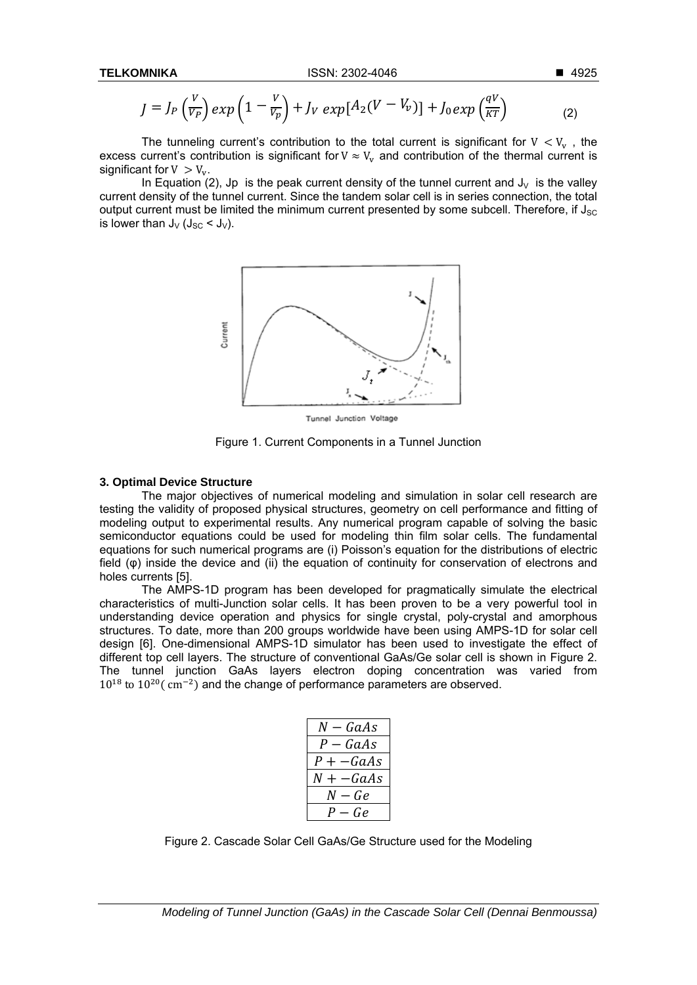$$
J = J_P\left(\frac{V}{V_P}\right) exp\left(1 - \frac{V}{V_P}\right) + J_V exp[A_2(V - V_v)] + J_0 exp\left(\frac{qV}{KT}\right)
$$
 (2)

The tunneling current's contribution to the total current is significant for  $V < V_{\rm v}$ , the excess current's contribution is significant for  $V \approx V_{\rm v}$  and contribution of the thermal current is significant for  $V > V_{v}$ .

In Equation (2), Jp is the peak current density of the tunnel current and  $J_v$  is the valley current density of the tunnel current. Since the tandem solar cell is in series connection, the total output current must be limited the minimum current presented by some subcell. Therefore, if  $J_{SC}$ is lower than  $J_V$  ( $J_{SC}$  <  $J_V$ ).



Tunnel Junction Voltage

Figure 1. Current Components in a Tunnel Junction

### **3. Optimal Device Structure**

The major objectives of numerical modeling and simulation in solar cell research are testing the validity of proposed physical structures, geometry on cell performance and fitting of modeling output to experimental results. Any numerical program capable of solving the basic semiconductor equations could be used for modeling thin film solar cells. The fundamental equations for such numerical programs are (i) Poisson's equation for the distributions of electric field (φ) inside the device and (ii) the equation of continuity for conservation of electrons and holes currents [5].

The AMPS-1D program has been developed for pragmatically simulate the electrical characteristics of multi-Junction solar cells. It has been proven to be a very powerful tool in understanding device operation and physics for single crystal, poly-crystal and amorphous structures. To date, more than 200 groups worldwide have been using AMPS-1D for solar cell design [6]. One-dimensional AMPS-1D simulator has been used to investigate the effect of different top cell layers. The structure of conventional GaAs/Ge solar cell is shown in Figure 2. The tunnel junction GaAs layers electron doping concentration was varied from  $10^{18}$  to  $10^{20}$  ( cm<sup>-2</sup>) and the change of performance parameters are observed.

| $N - GaAs$  |
|-------------|
| $-GaAs$     |
| P + —GaAs   |
| $N + -GaAs$ |
| $N - Ge$    |
| Ge<br>÷.    |

Figure 2. Cascade Solar Cell GaAs/Ge Structure used for the Modeling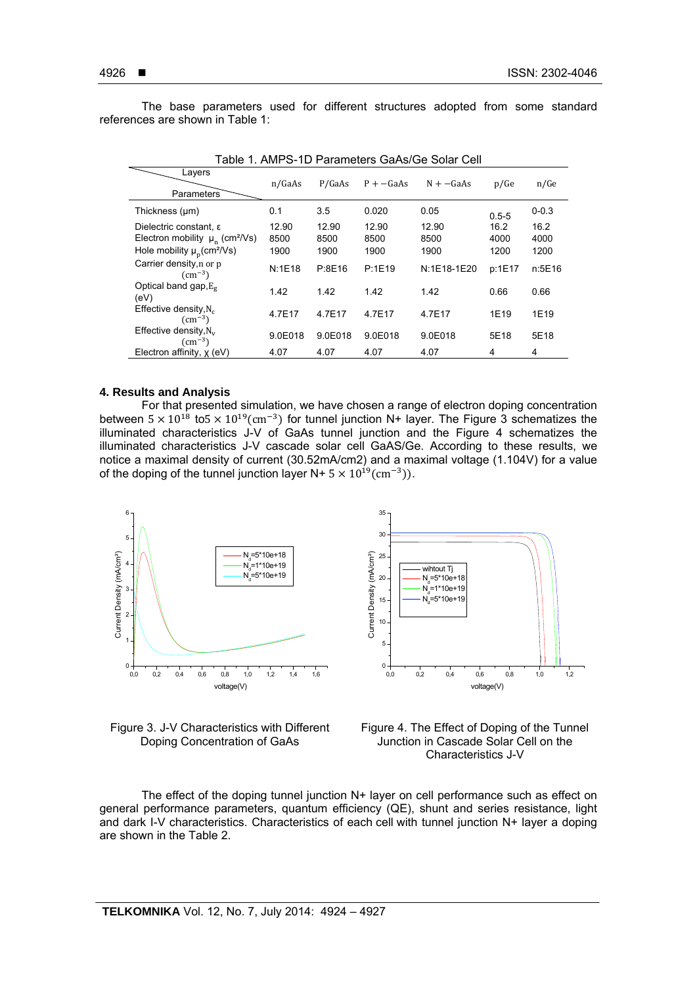ֺ

The base parameters used for different structures adopted from some standard references are shown in Table 1:

| Lavers<br><b>Parameters</b>                                                                                                    | n/GaAs                | P/GaAs                | $P + -GaAs$           | $N + -GaAs$           | p/Ge                 | n/Ge                 |
|--------------------------------------------------------------------------------------------------------------------------------|-----------------------|-----------------------|-----------------------|-----------------------|----------------------|----------------------|
| Thickness (µm)                                                                                                                 | 0.1                   | 3.5                   | 0.020                 | 0.05                  | $0.5 - 5$            | $0 - 0.3$            |
| Dielectric constant, ε<br>Electron mobility $\mu_n$ (cm <sup>2</sup> /Vs)<br>Hole mobility $\mu_{\rm p}$ (cm <sup>2</sup> /Vs) | 12.90<br>8500<br>1900 | 12.90<br>8500<br>1900 | 12.90<br>8500<br>1900 | 12.90<br>8500<br>1900 | 16.2<br>4000<br>1200 | 16.2<br>4000<br>1200 |
| Carrier density, n or p<br>$\text{cm}^{-3}$ )                                                                                  | N:1E18                | P:8E16                | P:1E19                | N:1E18-1E20           | p:1E17               | n:5E16               |
| Optical band gap, $E_{\sigma}$<br>(eV)                                                                                         | 1.42                  | 1.42                  | 1.42                  | 1.42                  | 0.66                 | 0.66                 |
| Effective density, $N_c$<br>$\text{cm}^{-3}$ )                                                                                 | 4.7E17                | 4.7E17                | 4.7E17                | 4.7E17                | 1E19                 | 1E19                 |
| Effective density, $N_v$<br>$\text{cm}^{-3}$ )                                                                                 | 9.0E018               | 9.0E018               | 9.0E018               | 9.0E018               | 5E18                 | 5E18                 |
| Electron affinity, x (eV)                                                                                                      | 4.07                  | 4.07                  | 4.07                  | 4.07                  | 4                    | 4                    |

Table 1. AMPS-1D Parameters GaAs/Ge Solar Cell

#### **4. Results and Analysis**

For that presented simulation, we have chosen a range of electron doping concentration between  $5 \times 10^{18}$  to $5 \times 10^{19}$ (cm<sup>-3</sup>) for tunnel junction N+ layer. The Figure 3 schematizes the illuminated characteristics J-V of GaAs tunnel junction and the Figure 4 schematizes the illuminated characteristics J-V cascade solar cell GaAS/Ge. According to these results, we notice a maximal density of current (30.52mA/cm2) and a maximal voltage (1.104V) for a value of the doping of the tunnel junction layer N+  $5 \times 10^{19}$  (cm<sup>-3</sup>)).





Figure 3. J-V Characteristics with Different Doping Concentration of GaAs



The effect of the doping tunnel junction  $N+$  layer on cell performance such as effect on general performance parameters, quantum efficiency (QE), shunt and series resistance, light and dark I-V characteristics. Characteristics of each cell with tunnel junction N+ layer a doping are shown in the Table 2.